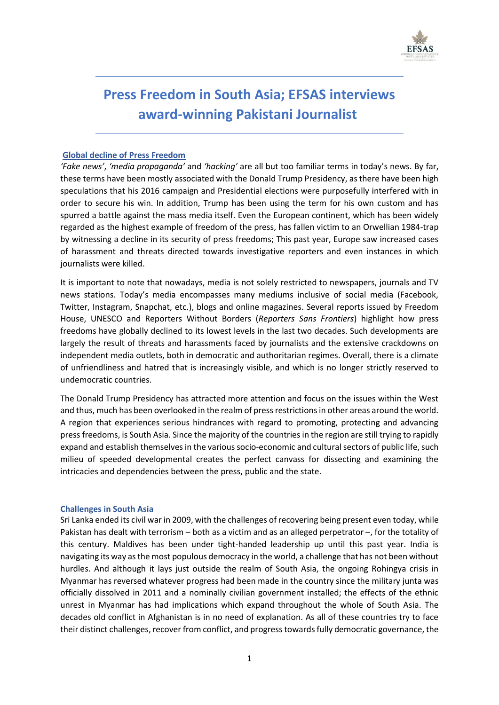

# **Press Freedom in South Asia; EFSAS interviews award-winning Pakistani Journalist**

# **Global decline of Press Freedom**

*'Fake news'*, *'media propaganda'* and *'hacking'* are all but too familiar terms in today's news. By far, these terms have been mostly associated with the Donald Trump Presidency, as there have been high speculations that his 2016 campaign and Presidential elections were purposefully interfered with in order to secure his win. In addition, Trump has been using the term for his own custom and has spurred a battle against the mass media itself. Even the European continent, which has been widely regarded as the highest example of freedom of the press, has fallen victim to an Orwellian 1984-trap by witnessing a decline in its security of press freedoms; This past year, Europe saw increased cases of harassment and threats directed towards investigative reporters and even instances in which journalists were killed.

It is important to note that nowadays, media is not solely restricted to newspapers, journals and TV news stations. Today's media encompasses many mediums inclusive of social media (Facebook, Twitter, Instagram, Snapchat, etc.), blogs and online magazines. Several reports issued by Freedom House, UNESCO and Reporters Without Borders (*Reporters Sans Frontiers*) highlight how press freedoms have globally declined to its lowest levels in the last two decades. Such developments are largely the result of threats and harassments faced by journalists and the extensive crackdowns on independent media outlets, both in democratic and authoritarian regimes. Overall, there is a climate of unfriendliness and hatred that is increasingly visible, and which is no longer strictly reserved to undemocratic countries.

The Donald Trump Presidency has attracted more attention and focus on the issues within the West and thus, much has been overlooked in the realm of press restrictions in other areas around the world. A region that experiences serious hindrances with regard to promoting, protecting and advancing press freedoms, is South Asia. Since the majority of the countries in the region are still trying to rapidly expand and establish themselves in the various socio-economic and cultural sectors of public life, such milieu of speeded developmental creates the perfect canvass for dissecting and examining the intricacies and dependencies between the press, public and the state.

# **Challenges in South Asia**

Sri Lanka ended its civil war in 2009, with the challenges of recovering being present even today, while Pakistan has dealt with terrorism – both as a victim and as an alleged perpetrator –, for the totality of this century. Maldives has been under tight-handed leadership up until this past year. India is navigating its way as the most populous democracy in the world, a challenge that has not been without hurdles. And although it lays just outside the realm of South Asia, the ongoing Rohingya crisis in Myanmar has reversed whatever progress had been made in the country since the military junta was officially dissolved in 2011 and a nominally civilian government installed; the effects of the ethnic unrest in Myanmar has had implications which expand throughout the whole of South Asia. The decades old conflict in Afghanistan is in no need of explanation. As all of these countries try to face their distinct challenges, recover from conflict, and progress towards fully democratic governance, the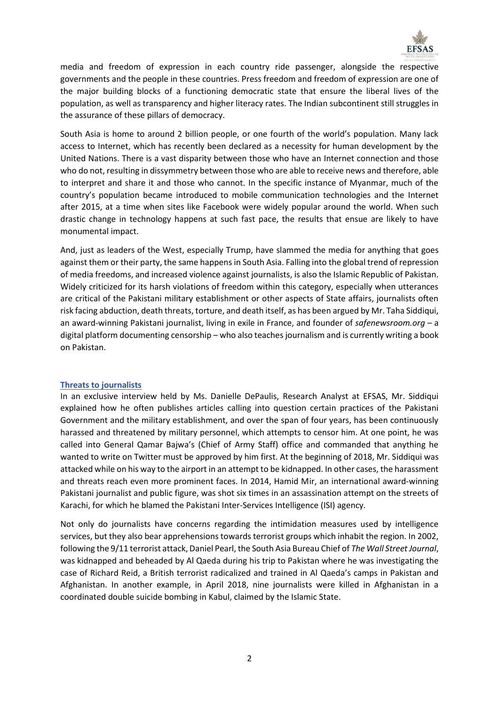

media and freedom of expression in each country ride passenger, alongside the respective governments and the people in these countries. Press freedom and freedom of expression are one of the major building blocks of a functioning democratic state that ensure the liberal lives of the population, as well as transparency and higher literacy rates. The Indian subcontinent still struggles in the assurance of these pillars of democracy.

South Asia is home to around 2 billion people, or one fourth of the world's population. Many lack access to Internet, which has recently been declared as a necessity for human development by the United Nations. There is a vast disparity between those who have an Internet connection and those who do not, resulting in dissymmetry between those who are able to receive news and therefore, able to interpret and share it and those who cannot. In the specific instance of Myanmar, much of the country's population became introduced to mobile communication technologies and the Internet after 2015, at a time when sites like Facebook were widely popular around the world. When such drastic change in technology happens at such fast pace, the results that ensue are likely to have monumental impact.

And, just as leaders of the West, especially Trump, have slammed the media for anything that goes against them or their party, the same happens in South Asia. Falling into the global trend of repression of media freedoms, and increased violence against journalists, is also the Islamic Republic of Pakistan. Widely criticized for its harsh violations of freedom within this category, especially when utterances are critical of the Pakistani military establishment or other aspects of State affairs, journalists often risk facing abduction, death threats, torture, and death itself, as has been argued by Mr. Taha Siddiqui, an award-winning Pakistani journalist, living in exile in France, and founder of *safenewsroom.org* – a digital platform documenting censorship – who also teaches journalism and is currently writing a book on Pakistan.

#### **Threats to journalists**

In an exclusive interview held by Ms. Danielle DePaulis, Research Analyst at EFSAS, Mr. Siddiqui explained how he often publishes articles calling into question certain practices of the Pakistani Government and the military establishment, and over the span of four years, has been continuously harassed and threatened by military personnel, which attempts to censor him. At one point, he was called into General Qamar Bajwa's (Chief of Army Staff) office and commanded that anything he wanted to write on Twitter must be approved by him first. At the beginning of 2018, Mr. Siddiqui was attacked while on his way to the airport in an attempt to be kidnapped. In other cases, the harassment and threats reach even more prominent faces. In 2014, Hamid Mir, an international award-winning Pakistani journalist and public figure, was shot six times in an assassination attempt on the streets of Karachi, for which he blamed the Pakistani Inter-Services Intelligence (ISI) agency.

Not only do journalists have concerns regarding the intimidation measures used by intelligence services, but they also bear apprehensions towards terrorist groups which inhabit the region. In 2002, following the 9/11 terrorist attack, Daniel Pearl, the South Asia Bureau Chief of *The Wall Street Journal*, was kidnapped and beheaded by Al Qaeda during his trip to Pakistan where he was investigating the case of Richard Reid, a British terrorist radicalized and trained in Al Qaeda's camps in Pakistan and Afghanistan. In another example, in April 2018, nine journalists were killed in Afghanistan in a coordinated double suicide bombing in Kabul, claimed by the Islamic State.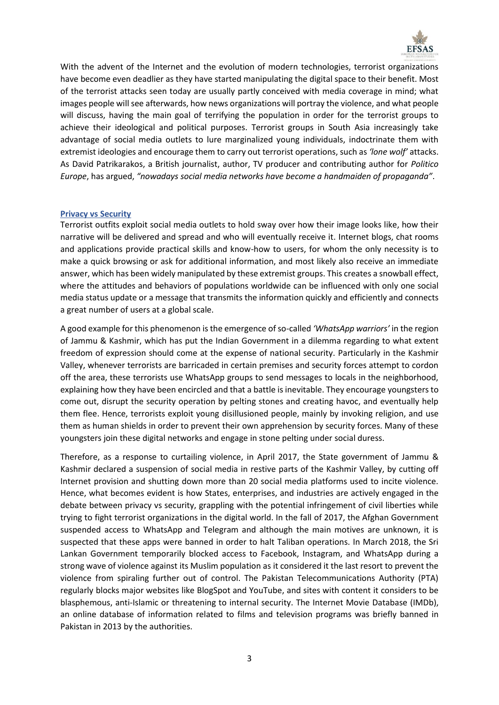

With the advent of the Internet and the evolution of modern technologies, terrorist organizations have become even deadlier as they have started manipulating the digital space to their benefit. Most of the terrorist attacks seen today are usually partly conceived with media coverage in mind; what images people will see afterwards, how news organizations will portray the violence, and what people will discuss, having the main goal of terrifying the population in order for the terrorist groups to achieve their ideological and political purposes. Terrorist groups in South Asia increasingly take advantage of social media outlets to lure marginalized young individuals, indoctrinate them with extremist ideologies and encourage them to carry out terrorist operations, such as *'lone wolf'* attacks. As David Patrikarakos, a British journalist, author, TV producer and contributing author for *Politico Europe*, has argued, *"nowadays social media networks have become a handmaiden of propaganda"*.

## **Privacy vs Security**

Terrorist outfits exploit social media outlets to hold sway over how their image looks like, how their narrative will be delivered and spread and who will eventually receive it. Internet blogs, chat rooms and applications provide practical skills and know-how to users, for whom the only necessity is to make a quick browsing or ask for additional information, and most likely also receive an immediate answer, which has been widely manipulated by these extremist groups. This creates a snowball effect, where the attitudes and behaviors of populations worldwide can be influenced with only one social media status update or a message that transmits the information quickly and efficiently and connects a great number of users at a global scale.

A good example for this phenomenon is the emergence of so-called *'WhatsApp warriors'* in the region of Jammu & Kashmir, which has put the Indian Government in a dilemma regarding to what extent freedom of expression should come at the expense of national security. Particularly in the Kashmir Valley, whenever terrorists are barricaded in certain premises and security forces attempt to cordon off the area, these terrorists use WhatsApp groups to send messages to locals in the neighborhood, explaining how they have been encircled and that a battle is inevitable. They encourage youngsters to come out, disrupt the security operation by pelting stones and creating havoc, and eventually help them flee. Hence, terrorists exploit young disillusioned people, mainly by invoking religion, and use them as human shields in order to prevent their own apprehension by security forces. Many of these youngsters join these digital networks and engage in stone pelting under social duress.

Therefore, as a response to curtailing violence, in April 2017, the State government of Jammu & Kashmir declared a suspension of social media in restive parts of the Kashmir Valley, by cutting off Internet provision and shutting down more than 20 social media platforms used to incite violence. Hence, what becomes evident is how States, enterprises, and industries are actively engaged in the debate between privacy vs security, grappling with the potential infringement of civil liberties while trying to fight terrorist organizations in the digital world. In the fall of 2017, the Afghan Government suspended access to WhatsApp and Telegram and although the main motives are unknown, it is suspected that these apps were banned in order to halt Taliban operations. In March 2018, the Sri Lankan Government temporarily blocked access to Facebook, Instagram, and WhatsApp during a strong wave of violence against its Muslim population as it considered it the last resort to prevent the violence from spiraling further out of control. The Pakistan Telecommunications Authority (PTA) regularly blocks major websites like BlogSpot and YouTube, and sites with content it considers to be blasphemous, anti-Islamic or threatening to internal security. The Internet Movie Database (IMDb), an online database of information related to films and television programs was briefly banned in Pakistan in 2013 by the authorities.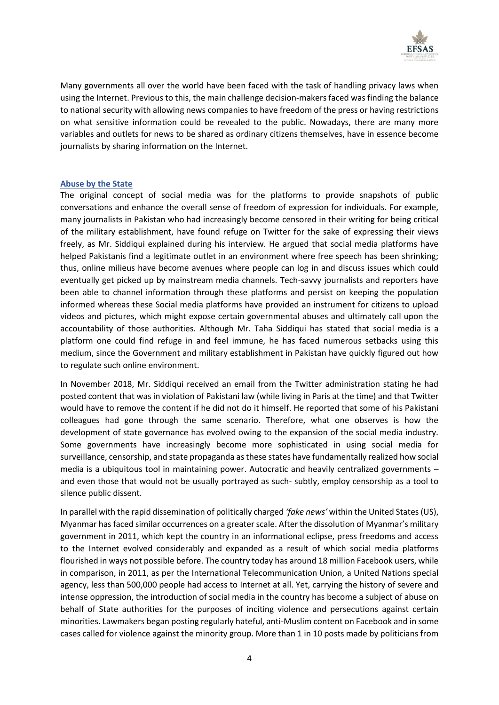

Many governments all over the world have been faced with the task of handling privacy laws when using the Internet. Previous to this, the main challenge decision-makers faced was finding the balance to national security with allowing news companies to have freedom of the press or having restrictions on what sensitive information could be revealed to the public. Nowadays, there are many more variables and outlets for news to be shared as ordinary citizens themselves, have in essence become journalists by sharing information on the Internet.

## **Abuse by the State**

The original concept of social media was for the platforms to provide snapshots of public conversations and enhance the overall sense of freedom of expression for individuals. For example, many journalists in Pakistan who had increasingly become censored in their writing for being critical of the military establishment, have found refuge on Twitter for the sake of expressing their views freely, as Mr. Siddiqui explained during his interview. He argued that social media platforms have helped Pakistanis find a legitimate outlet in an environment where free speech has been shrinking; thus, online milieus have become avenues where people can log in and discuss issues which could eventually get picked up by mainstream media channels. Tech-savvy journalists and reporters have been able to channel information through these platforms and persist on keeping the population informed whereas these Social media platforms have provided an instrument for citizens to upload videos and pictures, which might expose certain governmental abuses and ultimately call upon the accountability of those authorities. Although Mr. Taha Siddiqui has stated that social media is a platform one could find refuge in and feel immune, he has faced numerous setbacks using this medium, since the Government and military establishment in Pakistan have quickly figured out how to regulate such online environment.

In November 2018, Mr. Siddiqui received an email from the Twitter administration stating he had posted content that was in violation of Pakistani law (while living in Paris at the time) and that Twitter would have to remove the content if he did not do it himself. He reported that some of his Pakistani colleagues had gone through the same scenario. Therefore, what one observes is how the development of state governance has evolved owing to the expansion of the social media industry. Some governments have increasingly become more sophisticated in using social media for surveillance, censorship, and state propaganda as these states have fundamentally realized how social media is a ubiquitous tool in maintaining power. Autocratic and heavily centralized governments – and even those that would not be usually portrayed as such- subtly, employ censorship as a tool to silence public dissent.

In parallel with the rapid dissemination of politically charged *'fake news'* within the United States(US), Myanmar has faced similar occurrences on a greater scale. After the dissolution of Myanmar's military government in 2011, which kept the country in an informational eclipse, press freedoms and access to the Internet evolved considerably and expanded as a result of which social media platforms flourished in ways not possible before. The country today has around 18 million Facebook users, while in comparison, in 2011, as per the International Telecommunication Union, a United Nations special agency, less than 500,000 people had access to Internet at all. Yet, carrying the history of severe and intense oppression, the introduction of social media in the country has become a subject of abuse on behalf of State authorities for the purposes of inciting violence and persecutions against certain minorities. Lawmakers began posting regularly hateful, anti-Muslim content on Facebook and in some cases called for violence against the minority group. More than 1 in 10 posts made by politicians from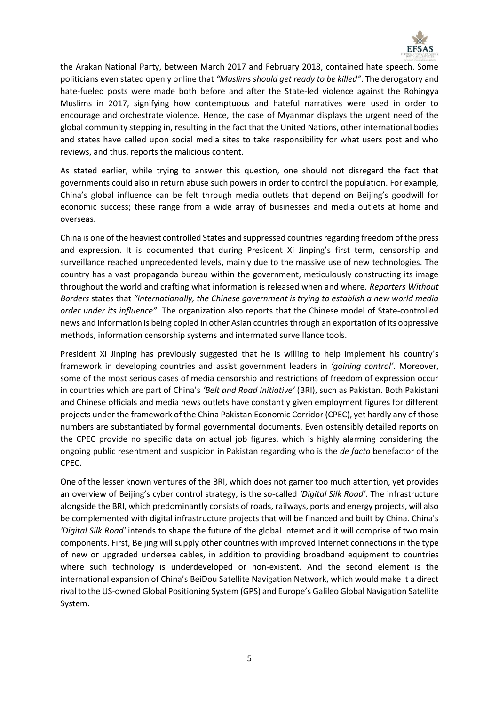

the Arakan National Party, between March 2017 and February 2018, contained hate speech. Some politicians even stated openly online that *"Muslims should get ready to be killed"*. The derogatory and hate-fueled posts were made both before and after the State-led violence against the Rohingya Muslims in 2017, signifying how contemptuous and hateful narratives were used in order to encourage and orchestrate violence. Hence, the case of Myanmar displays the urgent need of the global community stepping in, resulting in the fact that the United Nations, other international bodies and states have called upon social media sites to take responsibility for what users post and who reviews, and thus, reports the malicious content.

As stated earlier, while trying to answer this question, one should not disregard the fact that governments could also in return abuse such powers in order to control the population. For example, China's global influence can be felt through media outlets that depend on Beijing's goodwill for economic success; these range from a wide array of businesses and media outlets at home and overseas.

China is one of the heaviest controlled States and suppressed countries regarding freedom of the press and expression. It is documented that during President Xi Jinping's first term, censorship and surveillance reached unprecedented levels, mainly due to the massive use of new technologies. The country has a vast propaganda bureau within the government, meticulously constructing its image throughout the world and crafting what information is released when and where*. Reporters Without Borders* states that *"Internationally, the Chinese government is trying to establish a new world media order under its influence"*. The organization also reports that the Chinese model of State-controlled news and information is being copied in other Asian countries through an exportation of its oppressive methods, information censorship systems and intermated surveillance tools.

President Xi Jinping has previously suggested that he is willing to help implement his country's framework in developing countries and assist government leaders in *'gaining control'*. Moreover, some of the most serious cases of media censorship and restrictions of freedom of expression occur in countries which are part of China's *'Belt and Road Initiative'* (BRI), such as Pakistan. Both Pakistani and Chinese officials and media news outlets have constantly given employment figures for different projects under the framework of the China Pakistan Economic Corridor (CPEC), yet hardly any of those numbers are substantiated by formal governmental documents. Even ostensibly detailed reports on the CPEC provide no specific data on actual job figures, which is highly alarming considering the ongoing public resentment and suspicion in Pakistan regarding who is the *de facto* benefactor of the CPEC.

One of the lesser known ventures of the BRI, which does not garner too much attention, yet provides an overview of Beijing's cyber control strategy, is the so-called *'Digital Silk Road'*. The infrastructure alongside the BRI, which predominantly consists of roads, railways, ports and energy projects, will also be complemented with digital infrastructure projects that will be financed and built by China. China's *'Digital Silk Road'* intends to shape the future of the global Internet and it will comprise of two main components. First, Beijing will supply other countries with improved Internet connections in the type of new or upgraded undersea cables, in addition to providing broadband equipment to countries where such technology is underdeveloped or non-existent. And the second element is the international expansion of China's BeiDou Satellite Navigation Network, which would make it a direct rival to the US-owned Global Positioning System (GPS) and Europe's Galileo Global Navigation Satellite System.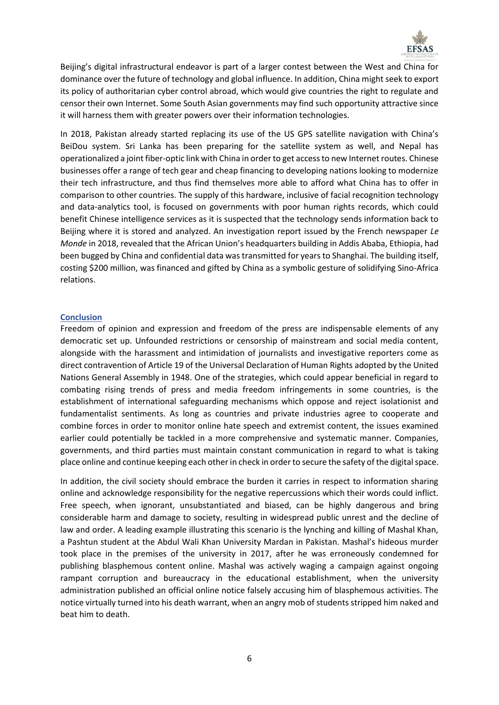

Beijing's digital infrastructural endeavor is part of a larger contest between the West and China for dominance over the future of technology and global influence. In addition, China might seek to export its policy of authoritarian cyber control abroad, which would give countries the right to regulate and censor their own Internet. Some South Asian governments may find such opportunity attractive since it will harness them with greater powers over their information technologies.

In 2018, Pakistan already started replacing its use of the US GPS satellite navigation with China's BeiDou system. Sri Lanka has been preparing for the satellite system as well, and Nepal has operationalized a joint fiber-optic link with China in order to get access to new Internet routes. Chinese businesses offer a range of tech gear and cheap financing to developing nations looking to modernize their tech infrastructure, and thus find themselves more able to afford what China has to offer in comparison to other countries. The supply of this hardware, inclusive of facial recognition technology and data-analytics tool, is focused on governments with poor human rights records, which could benefit Chinese intelligence services as it is suspected that the technology sends information back to Beijing where it is stored and analyzed. An investigation report issued by the French newspaper *Le Monde* in 2018, revealed that the African Union's headquarters building in Addis Ababa, Ethiopia, had been bugged by China and confidential data was transmitted for years to Shanghai. The building itself, costing \$200 million, was financed and gifted by China as a symbolic gesture of solidifying Sino-Africa relations.

## **Conclusion**

Freedom of opinion and expression and freedom of the press are indispensable elements of any democratic set up. Unfounded restrictions or censorship of mainstream and social media content, alongside with the harassment and intimidation of journalists and investigative reporters come as direct contravention of Article 19 of the Universal Declaration of Human Rights adopted by the United Nations General Assembly in 1948. One of the strategies, which could appear beneficial in regard to combating rising trends of press and media freedom infringements in some countries, is the establishment of international safeguarding mechanisms which oppose and reject isolationist and fundamentalist sentiments. As long as countries and private industries agree to cooperate and combine forces in order to monitor online hate speech and extremist content, the issues examined earlier could potentially be tackled in a more comprehensive and systematic manner. Companies, governments, and third parties must maintain constant communication in regard to what is taking place online and continue keeping each other in check in order to secure the safety of the digital space.

In addition, the civil society should embrace the burden it carries in respect to information sharing online and acknowledge responsibility for the negative repercussions which their words could inflict. Free speech, when ignorant, unsubstantiated and biased, can be highly dangerous and bring considerable harm and damage to society, resulting in widespread public unrest and the decline of law and order. A leading example illustrating this scenario is the lynching and killing of Mashal Khan, a Pashtun student at the Abdul Wali Khan University Mardan in Pakistan. Mashal's hideous murder took place in the premises of the university in 2017, after he was erroneously condemned for publishing blasphemous content online. Mashal was actively waging a campaign against ongoing rampant corruption and bureaucracy in the educational establishment, when the university administration published an official online notice falsely accusing him of blasphemous activities. The notice virtually turned into his death warrant, when an angry mob of students stripped him naked and beat him to death.